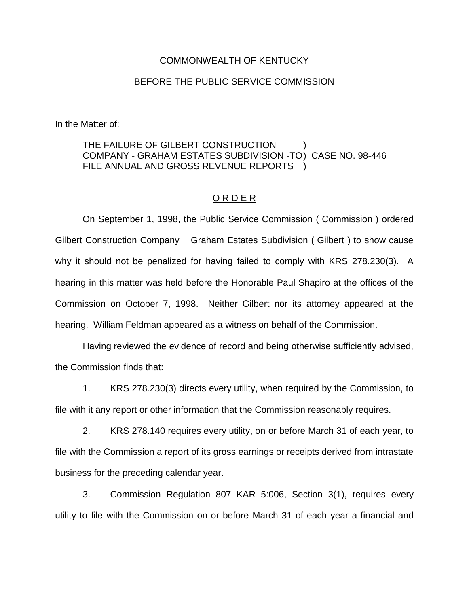## COMMONWEALTH OF KENTUCKY

## BEFORE THE PUBLIC SERVICE COMMISSION

In the Matter of:

## THE FAILURE OF GILBERT CONSTRUCTION COMPANY - GRAHAM ESTATES SUBDIVISION -TO) CASE NO. 98-446 FILE ANNUAL AND GROSS REVENUE REPORTS )

## O R D E R

On September 1, 1998, the Public Service Commission ( Commission ) ordered Gilbert Construction Company Graham Estates Subdivision ( Gilbert ) to show cause why it should not be penalized for having failed to comply with KRS 278.230(3). A hearing in this matter was held before the Honorable Paul Shapiro at the offices of the Commission on October 7, 1998. Neither Gilbert nor its attorney appeared at the hearing. William Feldman appeared as a witness on behalf of the Commission.

Having reviewed the evidence of record and being otherwise sufficiently advised, the Commission finds that:

1. KRS 278.230(3) directs every utility, when required by the Commission, to file with it any report or other information that the Commission reasonably requires.

2. KRS 278.140 requires every utility, on or before March 31 of each year, to file with the Commission a report of its gross earnings or receipts derived from intrastate business for the preceding calendar year.

3. Commission Regulation 807 KAR 5:006, Section 3(1), requires every utility to file with the Commission on or before March 31 of each year a financial and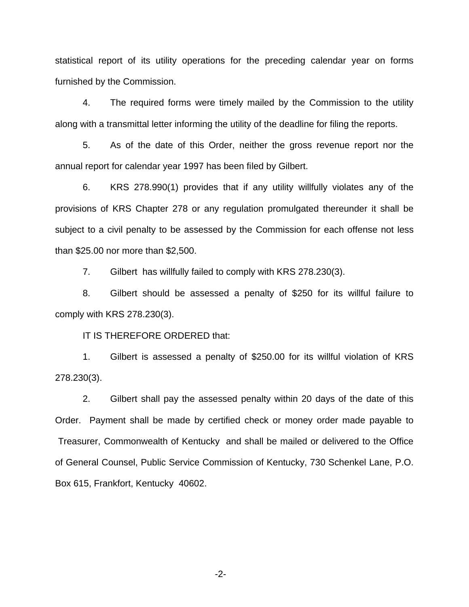statistical report of its utility operations for the preceding calendar year on forms furnished by the Commission.

4. The required forms were timely mailed by the Commission to the utility along with a transmittal letter informing the utility of the deadline for filing the reports.

5. As of the date of this Order, neither the gross revenue report nor the annual report for calendar year 1997 has been filed by Gilbert.

6. KRS 278.990(1) provides that if any utility willfully violates any of the provisions of KRS Chapter 278 or any regulation promulgated thereunder it shall be subject to a civil penalty to be assessed by the Commission for each offense not less than \$25.00 nor more than \$2,500.

7. Gilbert has willfully failed to comply with KRS 278.230(3).

8. Gilbert should be assessed a penalty of \$250 for its willful failure to comply with KRS 278.230(3).

IT IS THEREFORE ORDERED that:

1. Gilbert is assessed a penalty of \$250.00 for its willful violation of KRS 278.230(3).

2. Gilbert shall pay the assessed penalty within 20 days of the date of this Order. Payment shall be made by certified check or money order made payable to Treasurer, Commonwealth of Kentucky and shall be mailed or delivered to the Office of General Counsel, Public Service Commission of Kentucky, 730 Schenkel Lane, P.O. Box 615, Frankfort, Kentucky 40602.

-2-